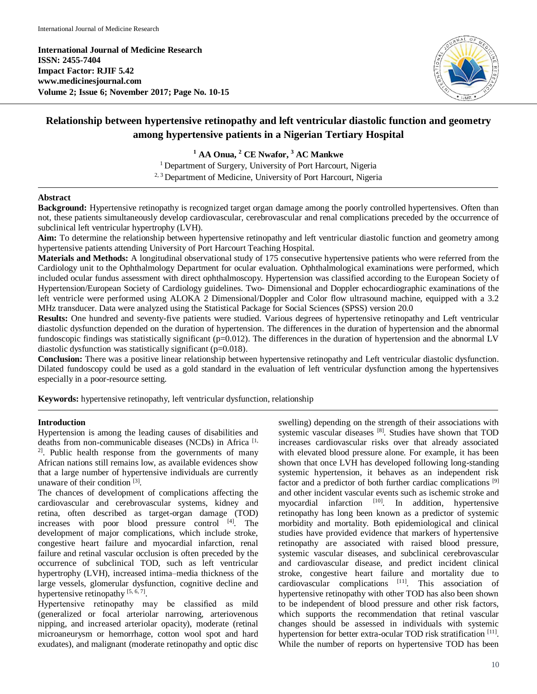**International Journal of Medicine Research ISSN: 2455-7404 Impact Factor: RJIF 5.42 www.medicinesjournal.com Volume 2; Issue 6; November 2017; Page No. 10-15**



# **Relationship between hypertensive retinopathy and left ventricular diastolic function and geometry among hypertensive patients in a Nigerian Tertiary Hospital**

# **<sup>1</sup> AA Onua, <sup>2</sup> CE Nwafor, <sup>3</sup> AC Mankwe**

<sup>1</sup> Department of Surgery, University of Port Harcourt, Nigeria <sup>2, 3</sup> Department of Medicine, University of Port Harcourt, Nigeria

#### **Abstract**

**Background:** Hypertensive retinopathy is recognized target organ damage among the poorly controlled hypertensives. Often than not, these patients simultaneously develop cardiovascular, cerebrovascular and renal complications preceded by the occurrence of subclinical left ventricular hypertrophy (LVH).

**Aim:** To determine the relationship between hypertensive retinopathy and left ventricular diastolic function and geometry among hypertensive patients attending University of Port Harcourt Teaching Hospital.

**Materials and Methods:** A longitudinal observational study of 175 consecutive hypertensive patients who were referred from the Cardiology unit to the Ophthalmology Department for ocular evaluation. Ophthalmological examinations were performed, which included ocular fundus assessment with direct ophthalmoscopy. Hypertension was classified according to the European Society of Hypertension/European Society of Cardiology guidelines. Two- Dimensional and Doppler echocardiographic examinations of the left ventricle were performed using ALOKA 2 Dimensional/Doppler and Color flow ultrasound machine, equipped with a 3.2 MHz transducer. Data were analyzed using the Statistical Package for Social Sciences (SPSS) version 20.0

Results: One hundred and seventy-five patients were studied. Various degrees of hypertensive retinopathy and Left ventricular diastolic dysfunction depended on the duration of hypertension. The differences in the duration of hypertension and the abnormal fundoscopic findings was statistically significant ( $p=0.012$ ). The differences in the duration of hypertension and the abnormal LV diastolic dysfunction was statistically significant (p=0.018).

**Conclusion:** There was a positive linear relationship between hypertensive retinopathy and Left ventricular diastolic dysfunction. Dilated fundoscopy could be used as a gold standard in the evaluation of left ventricular dysfunction among the hypertensives especially in a poor-resource setting.

**Keywords:** hypertensive retinopathy, left ventricular dysfunction, relationship

#### **Introduction**

Hypertension is among the leading causes of disabilities and deaths from non-communicable diseases (NCDs) in Africa<sup>[1,]</sup> <sup>21</sup>. Public health response from the governments of many African nations still remains low, as available evidences show that a large number of hypertensive individuals are currently unaware of their condition [3].

The chances of development of complications affecting the cardiovascular and cerebrovascular systems, kidney and retina, often described as target-organ damage (TOD) increases with poor blood pressure control [4]. The development of major complications, which include stroke, congestive heart failure and myocardial infarction, renal failure and retinal vascular occlusion is often preceded by the occurrence of subclinical TOD, such as left ventricular hypertrophy (LVH), increased intima–media thickness of the large vessels, glomerular dysfunction, cognitive decline and hypertensive retinopathy  $[5, 6, 7]$ .

Hypertensive retinopathy may be classified as mild (generalized or focal arteriolar narrowing, arteriovenous nipping, and increased arteriolar opacity), moderate (retinal microaneurysm or hemorrhage, cotton wool spot and hard exudates), and malignant (moderate retinopathy and optic disc

swelling) depending on the strength of their associations with systemic vascular diseases [8]. Studies have shown that TOD increases cardiovascular risks over that already associated with elevated blood pressure alone. For example, it has been shown that once LVH has developed following long-standing systemic hypertension, it behaves as an independent risk factor and a predictor of both further cardiac complications [9] and other incident vascular events such as ischemic stroke and myocardial infarction  $[10]$ . In addition, hypertensive retinopathy has long been known as a predictor of systemic morbidity and mortality. Both epidemiological and clinical studies have provided evidence that markers of hypertensive retinopathy are associated with raised blood pressure, systemic vascular diseases, and subclinical cerebrovascular and cardiovascular disease, and predict incident clinical stroke, congestive heart failure and mortality due to cardiovascular complications [11]. This association of hypertensive retinopathy with other TOD has also been shown to be independent of blood pressure and other risk factors, which supports the recommendation that retinal vascular changes should be assessed in individuals with systemic hypertension for better extra-ocular TOD risk stratification [11]. While the number of reports on hypertensive TOD has been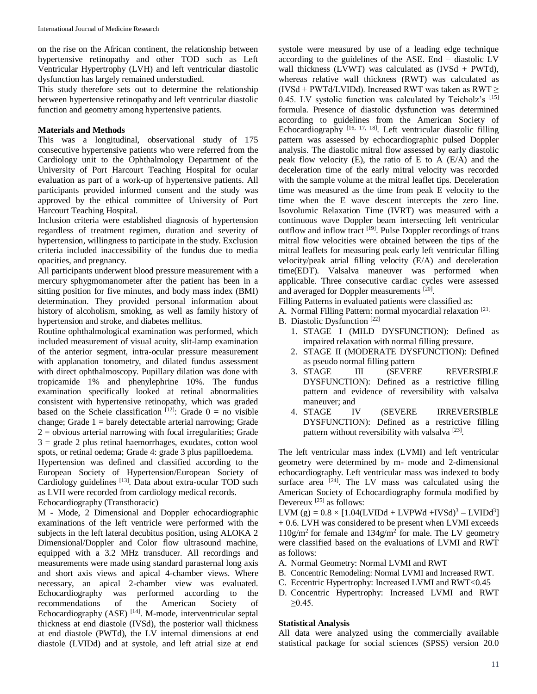on the rise on the African continent, the relationship between hypertensive retinopathy and other TOD such as Left Ventricular Hypertrophy (LVH) and left ventricular diastolic dysfunction has largely remained understudied.

This study therefore sets out to determine the relationship between hypertensive retinopathy and left ventricular diastolic function and geometry among hypertensive patients.

## **Materials and Methods**

This was a longitudinal, observational study of 175 consecutive hypertensive patients who were referred from the Cardiology unit to the Ophthalmology Department of the University of Port Harcourt Teaching Hospital for ocular evaluation as part of a work-up of hypertensive patients. All participants provided informed consent and the study was approved by the ethical committee of University of Port Harcourt Teaching Hospital.

Inclusion criteria were established diagnosis of hypertension regardless of treatment regimen, duration and severity of hypertension, willingness to participate in the study. Exclusion criteria included inaccessibility of the fundus due to media opacities, and pregnancy.

All participants underwent blood pressure measurement with a mercury sphygmomanometer after the patient has been in a sitting position for five minutes, and body mass index (BMI) determination. They provided personal information about history of alcoholism, smoking, as well as family history of hypertension and stroke, and diabetes mellitus.

Routine ophthalmological examination was performed, which included measurement of visual acuity, slit-lamp examination of the anterior segment, intra-ocular pressure measurement with applanation tonometry, and dilated fundus assessment with direct ophthalmoscopy. Pupillary dilation was done with tropicamide 1% and phenylephrine 10%. The fundus examination specifically looked at retinal abnormalities consistent with hypertensive retinopathy, which was graded based on the Scheie classification  $[12]$ : Grade 0 = no visible change; Grade  $1 =$  barely detectable arterial narrowing; Grade  $2 =$  obvious arterial narrowing with focal irregularities; Grade  $3 =$  grade 2 plus retinal haemorrhages, exudates, cotton wool spots, or retinal oedema; Grade 4: grade 3 plus papilloedema.

Hypertension was defined and classified according to the European Society of Hypertension/European Society of Cardiology guidelines [13]. Data about extra-ocular TOD such as LVH were recorded from cardiology medical records.

Echocardiography (Transthoracic)

M - Mode, 2 Dimensional and Doppler echocardiographic examinations of the left ventricle were performed with the subjects in the left lateral decubitus position, using ALOKA 2 Dimensional/Doppler and Color flow ultrasound machine, equipped with a 3.2 MHz transducer. All recordings and measurements were made using standard parasternal long axis and short axis views and apical 4-chamber views. Where necessary, an apical 2-chamber view was evaluated. Echocardiography was performed according to the recommendations of the American Society of Echocardiography (ASE)<sup>[14]</sup>. M-mode, interventricular septal thickness at end diastole (IVSd), the posterior wall thickness at end diastole (PWTd), the LV internal dimensions at end diastole (LVIDd) and at systole, and left atrial size at end

systole were measured by use of a leading edge technique according to the guidelines of the ASE. End – diastolic LV wall thickness  $(LVWT)$  was calculated as  $(IVSd + PWTd)$ . whereas relative wall thickness (RWT) was calculated as (IVSd + PWTd/LVIDd). Increased RWT was taken as  $RWT \geq$ 0.45. LV systolic function was calculated by Teicholz's [15] formula. Presence of diastolic dysfunction was determined according to guidelines from the American Society of Echocardiography<sup>[16, 17, 18]</sup>. Left ventricular diastolic filling pattern was assessed by echocardiographic pulsed Doppler analysis. The diastolic mitral flow assessed by early diastolic peak flow velocity  $(E)$ , the ratio of E to A  $(E/A)$  and the deceleration time of the early mitral velocity was recorded with the sample volume at the mitral leaflet tips. Deceleration time was measured as the time from peak E velocity to the time when the E wave descent intercepts the zero line. Isovolumic Relaxation Time (IVRT) was measured with a continuous wave Doppler beam intersecting left ventricular outflow and inflow tract [19]. Pulse Doppler recordings of trans mitral flow velocities were obtained between the tips of the mitral leaflets for measuring peak early left ventricular filling velocity/peak atrial filling velocity (E/A) and deceleration time(EDT). Valsalva maneuver was performed when applicable. Three consecutive cardiac cycles were assessed and averaged for Doppler measurements [20].

Filling Patterns in evaluated patients were classified as:

A. Normal Filling Pattern: normal myocardial relaxation<sup>[21]</sup>

- B. Diastolic Dysfunction [22]
	- 1. STAGE I (MILD DYSFUNCTION): Defined as impaired relaxation with normal filling pressure.
	- 2. STAGE II (MODERATE DYSFUNCTION): Defined as pseudo normal filling pattern
	- 3. STAGE III (SEVERE REVERSIBLE DYSFUNCTION): Defined as a restrictive filling pattern and evidence of reversibility with valsalva maneuver; and
	- 4. STAGE IV (SEVERE IRREVERSIBLE DYSFUNCTION): Defined as a restrictive filling pattern without reversibility with valsalva<sup>[23]</sup>.

The left ventricular mass index (LVMI) and left ventricular geometry were determined by m- mode and 2-dimensional echocardiography. Left ventricular mass was indexed to body surface area  $[24]$ . The LV mass was calculated using the American Society of Echocardiography formula modified by Devereux [25] as follows:

LVM (g) =  $0.8 \times [1.04(LVIDd + LVPWd + IVSd)^3 - LVIDd^3]$ + 0.6. LVH was considered to be present when LVMI exceeds  $110$ g/m<sup>2</sup> for female and  $134$ g/m<sup>2</sup> for male. The LV geometry were classified based on the evaluations of LVMI and RWT as follows:

- A. Normal Geometry: Normal LVMI and RWT
- B. Concentric Remodeling: Normal LVMI and Increased RWT.
- C. Eccentric Hypertrophy: Increased LVMI and RWT<0.45
- D. Concentric Hypertrophy: Increased LVMI and RWT ≥0.45.

# **Statistical Analysis**

All data were analyzed using the commercially available statistical package for social sciences (SPSS) version 20.0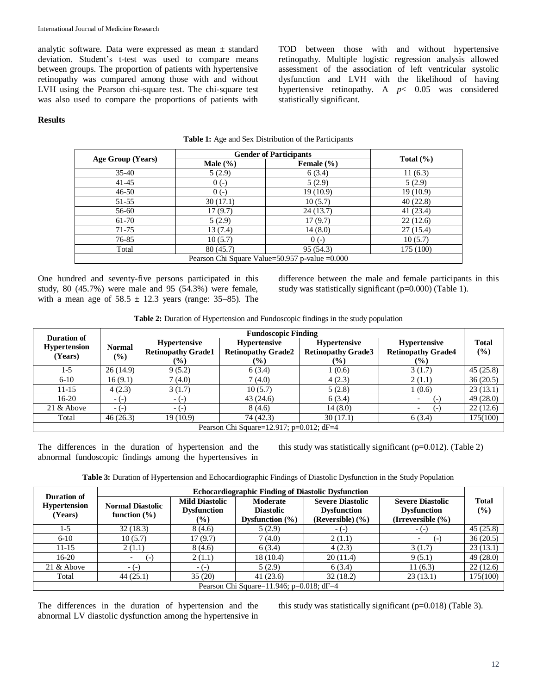analytic software. Data were expressed as mean  $\pm$  standard deviation. Student's t-test was used to compare means between groups. The proportion of patients with hypertensive retinopathy was compared among those with and without LVH using the Pearson chi-square test. The chi-square test was also used to compare the proportions of patients with TOD between those with and without hypertensive retinopathy. Multiple logistic regression analysis allowed assessment of the association of left ventricular systolic dysfunction and LVH with the likelihood of having hypertensive retinopathy. A *p*< 0.05 was considered statistically significant.

# **Results**

| Table 1: Age and Sex Distribution of the Participants |
|-------------------------------------------------------|
|-------------------------------------------------------|

|                                                   | <b>Gender of Participants</b> |                |               |  |  |
|---------------------------------------------------|-------------------------------|----------------|---------------|--|--|
| Age Group (Years)                                 | Male $(\% )$                  | Female $(\% )$ | Total $(\% )$ |  |  |
| $35-40$                                           | 5(2.9)                        | 6(3.4)         | 11(6.3)       |  |  |
| $41 - 45$                                         | $0(-)$                        | 5(2.9)         | 5(2.9)        |  |  |
| 46-50                                             | $0(-)$                        | 19(10.9)       | 19 (10.9)     |  |  |
| 51-55                                             | 30(17.1)                      | 10(5.7)        | 40(22.8)      |  |  |
| 56-60                                             | 17(9.7)                       | 24(13.7)       | 41 (23.4)     |  |  |
| 61-70                                             | 5(2.9)                        | 17(9.7)        | 22(12.6)      |  |  |
| 71-75                                             | 13 (7.4)                      | 14(8.0)        | 27(15.4)      |  |  |
| 76-85                                             | 10(5.7)                       | $0( - )$       | 10(5.7)       |  |  |
| Total                                             | 80(45.7)                      | 95 (54.3)      | 175 (100)     |  |  |
| Pearson Chi Square Value=50.957 p-value = $0.000$ |                               |                |               |  |  |

One hundred and seventy-five persons participated in this study, 80 (45.7%) were male and 95 (54.3%) were female, with a mean age of  $58.5 \pm 12.3$  years (range: 35–85). The difference between the male and female participants in this study was statistically significant (p=0.000) (Table 1).

**Table 2:** Duration of Hypertension and Fundoscopic findings in the study population

| Duration of                                 | <b>Fundoscopic Finding</b> |                                                                     |                                                            |                                                            |                                                            |                     |
|---------------------------------------------|----------------------------|---------------------------------------------------------------------|------------------------------------------------------------|------------------------------------------------------------|------------------------------------------------------------|---------------------|
| <b>Hypertension</b><br>(Years)              | <b>Normal</b><br>$(\%)$    | <b>Hypertensive</b><br><b>Retinopathy Grade1</b><br>$\frac{(0)}{0}$ | <b>Hypertensive</b><br><b>Retinopathy Grade2</b><br>$(\%)$ | <b>Hypertensive</b><br><b>Retinopathy Grade3</b><br>$(\%)$ | <b>Hypertensive</b><br><b>Retinopathy Grade4</b><br>$(\%)$ | <b>Total</b><br>(%) |
| $1-5$                                       | 26(14.9)                   | 9(5.2)                                                              | 6(3.4)                                                     | 1(0.6)                                                     | 3(1.7)                                                     | 45(25.8)            |
| $6 - 10$                                    | 16(9.1)                    | 7(4.0)                                                              | 7(4.0)                                                     | 4(2.3)                                                     | 2(1.1)                                                     | 36(20.5)            |
| $11 - 15$                                   | 4(2.3)                     | 3(1.7)                                                              | 10(5.7)                                                    | 5(2.8)                                                     | 1(0.6)                                                     | 23(13.1)            |
| $16-20$                                     | $-(-)$                     | $-(-)$                                                              | 43 (24.6)                                                  | 6(3.4)                                                     | -<br>$\overline{\phantom{0}}$                              | 49(28.0)            |
| 21 & Above                                  | $-(-)$                     | $-(-)$                                                              | 8(4.6)                                                     | 14(8.0)                                                    | $\overline{a}$<br>$\overline{\phantom{0}}$                 | 22(12.6)            |
| Total                                       | 46(26.3)                   | 19 (10.9)                                                           | 74 (42.3)                                                  | 30(17.1)                                                   | 6(3.4)                                                     | 175(100)            |
| Pearson Chi Square=12.917; $p=0.012$ ; dF=4 |                            |                                                                     |                                                            |                                                            |                                                            |                     |

The differences in the duration of hypertension and the abnormal fundoscopic findings among the hypertensives in this study was statistically significant (p=0.012). (Table 2)

**Table 3:** Duration of Hypertension and Echocardiographic Findings of Diastolic Dysfunction in the Study Population

| Duration of                                 | <b>Echocardiographic Finding of Diastolic Dysfunction</b> |                                                       |                                                            |                                                                       |                                                                        |                 |
|---------------------------------------------|-----------------------------------------------------------|-------------------------------------------------------|------------------------------------------------------------|-----------------------------------------------------------------------|------------------------------------------------------------------------|-----------------|
| <b>Hypertension</b><br>(Years)              | <b>Normal Diastolic</b><br>function $(\% )$               | <b>Mild Diastolic</b><br><b>Dysfunction</b><br>$(\%)$ | <b>Moderate</b><br><b>Diastolic</b><br>Dysfunction $(\% )$ | <b>Severe Diastolic</b><br><b>Dysfunction</b><br>(Reversible) $(\% )$ | <b>Severe Diastolic</b><br><b>Dysfunction</b><br>(Irreversible $(\% )$ | Total<br>$($ %) |
| $1-5$                                       | 32(18.3)                                                  | 8(4.6)                                                | 5(2.9)                                                     | $-(-)$                                                                | $-(-)$                                                                 | 45(25.8)        |
| $6 - 10$                                    | 10(5.7)                                                   | 17(9.7)                                               | 7(4.0)                                                     | 2(1.1)                                                                |                                                                        | 36(20.5)        |
| $11 - 15$                                   | 2(1.1)                                                    | 8(4.6)                                                | 6(3.4)                                                     | 4(2.3)                                                                | 3(1.7)                                                                 | 23(13.1)        |
| $16-20$                                     | $(-)$<br>-                                                | 2(1.1)                                                | 18 (10.4)                                                  | 20(11.4)                                                              | 9(5.1)                                                                 | 49(28.0)        |
| $21 \&$ Above                               | $-(-)$                                                    | $-(-)$                                                | 5(2.9)                                                     | 6(3.4)                                                                | 11(6.3)                                                                | 22(12.6)        |
| Total                                       | 44(25.1)                                                  | 35(20)                                                | 41(23.6)                                                   | 32(18.2)                                                              | 23(13.1)                                                               | 175(100)        |
| Pearson Chi Square=11.946; $p=0.018$ ; dF=4 |                                                           |                                                       |                                                            |                                                                       |                                                                        |                 |

The differences in the duration of hypertension and the abnormal LV diastolic dysfunction among the hypertensive in this study was statistically significant ( $p=0.018$ ) (Table 3).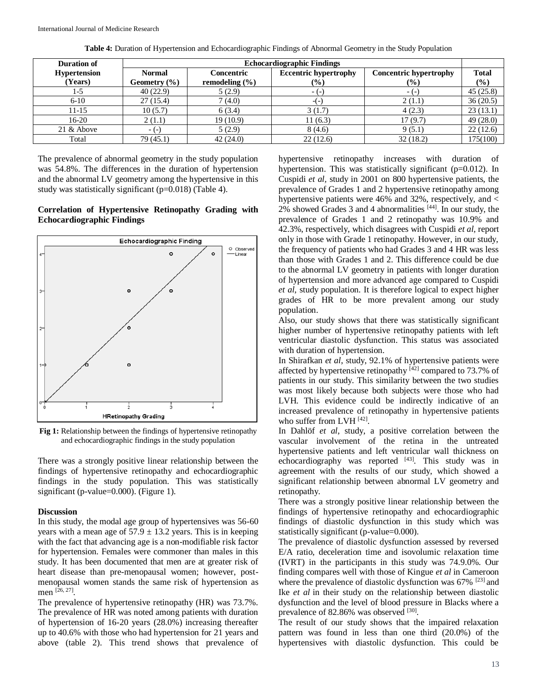| Duration of         | <b>Echocardiographic Findings</b> |                    |                              |                               |              |
|---------------------|-----------------------------------|--------------------|------------------------------|-------------------------------|--------------|
| <b>Hypertension</b> | <b>Normal</b>                     | Concentric         | <b>Eccentric hypertrophy</b> | <b>Concentric hypertrophy</b> | <b>Total</b> |
| (Years)             | Geometry $(\% )$                  | remodeling $(\% )$ | $(\%)$                       | $\frac{9}{6}$                 | $(\%)$       |
| 1-5                 | 40(22.9)                          | 5(2.9)             | $-(-)$                       | $-(-)$                        | 45(25.8)     |
| $6-10$              | 27(15.4)                          | 7(4.0)             | $-(-)$                       | 2(1.1)                        | 36(20.5)     |
| $11 - 15$           | 10(5.7)                           | 6(3.4)             | 3(1.7)                       | 4(2.3)                        | 23(13.1)     |
| $16-20$             | 2(1.1)                            | 19(10.9)           | 11(6.3)                      | 17(9.7)                       | 49(28.0)     |
| 21 & Above          | $-(-)$                            | 5(2.9)             | 8(4.6)                       | 9(5.1)                        | 22(12.6)     |
| Total               | 79(45.1)                          | 42(24.0)           | 22(12.6)                     | 32(18.2)                      | 175(100)     |

**Table 4:** Duration of Hypertension and Echocardiographic Findings of Abnormal Geometry in the Study Population

The prevalence of abnormal geometry in the study population was 54.8%. The differences in the duration of hypertension and the abnormal LV geometry among the hypertensive in this study was statistically significant (p=0.018) (Table 4).

## **Correlation of Hypertensive Retinopathy Grading with Echocardiographic Findings**



**Fig 1:** Relationship between the findings of hypertensive retinopathy and echocardiographic findings in the study population

There was a strongly positive linear relationship between the findings of hypertensive retinopathy and echocardiographic findings in the study population. This was statistically significant (p-value=0.000). (Figure 1).

#### **Discussion**

In this study, the modal age group of hypertensives was 56-60 years with a mean age of  $57.9 \pm 13.2$  years. This is in keeping with the fact that advancing age is a non-modifiable risk factor for hypertension. Females were commoner than males in this study. It has been documented that men are at greater risk of heart disease than pre-menopausal women; however, postmenopausal women stands the same risk of hypertension as men [26, 27] .

The prevalence of hypertensive retinopathy (HR) was 73.7%. The prevalence of HR was noted among patients with duration of hypertension of 16-20 years (28.0%) increasing thereafter up to 40.6% with those who had hypertension for 21 years and above (table 2). This trend shows that prevalence of hypertensive retinopathy increases with duration of hypertension. This was statistically significant (p=0.012). In Cuspidi *et al,* study in 2001 on 800 hypertensive patients, the prevalence of Grades 1 and 2 hypertensive retinopathy among hypertensive patients were 46% and 32%, respectively, and < 2% showed Grades 3 and 4 abnormalities  $[44]$ . In our study, the prevalence of Grades 1 and 2 retinopathy was 10.9% and 42.3%, respectively, which disagrees with Cuspidi *et al*, report only in those with Grade 1 retinopathy. However, in our study, the frequency of patients who had Grades 3 and 4 HR was less than those with Grades 1 and 2. This difference could be due to the abnormal LV geometry in patients with longer duration of hypertension and more advanced age compared to Cuspidi *et al*, study population. It is therefore logical to expect higher grades of HR to be more prevalent among our study population.

Also, our study shows that there was statistically significant higher number of hypertensive retinopathy patients with left ventricular diastolic dysfunction. This status was associated with duration of hypertension.

In Shirafkan *et al*, study, 92.1% of hypertensive patients were affected by hypertensive retinopathy [42] compared to 73.7% of patients in our study. This similarity between the two studies was most likely because both subjects were those who had LVH. This evidence could be indirectly indicative of an increased prevalence of retinopathy in hypertensive patients who suffer from LVH [42].

In Dahlöf *et al*, study, a positive correlation between the vascular involvement of the retina in the untreated hypertensive patients and left ventricular wall thickness on echocardiography was reported  $[43]$ . This study was in agreement with the results of our study, which showed a significant relationship between abnormal LV geometry and retinopathy.

There was a strongly positive linear relationship between the findings of hypertensive retinopathy and echocardiographic findings of diastolic dysfunction in this study which was statistically significant (p-value=0.000).

The prevalence of diastolic dysfunction assessed by reversed E/A ratio, deceleration time and isovolumic relaxation time (IVRT) in the participants in this study was 74.9.0%. Our finding compares well with those of Kingue *et al* in Cameroon where the prevalence of diastolic dysfunction was 67% <sup>[23]</sup> and Ike *et al* in their study on the relationship between diastolic dysfunction and the level of blood pressure in Blacks where a prevalence of 82.86% was observed [30].

The result of our study shows that the impaired relaxation pattern was found in less than one third (20.0%) of the hypertensives with diastolic dysfunction. This could be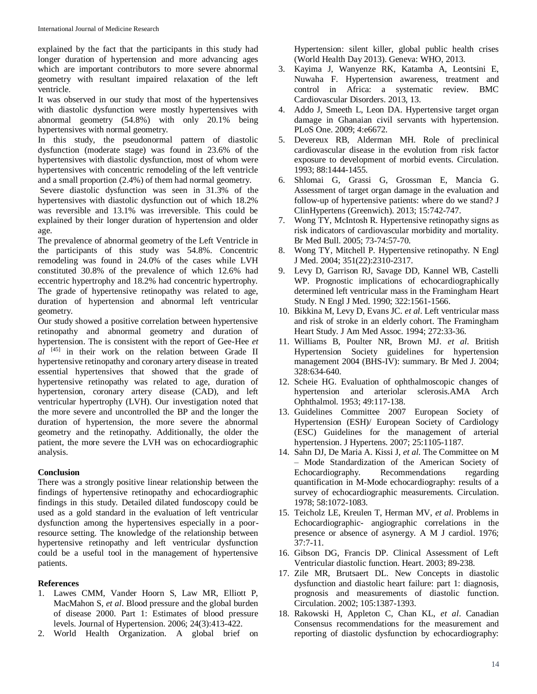explained by the fact that the participants in this study had longer duration of hypertension and more advancing ages which are important contributors to more severe abnormal geometry with resultant impaired relaxation of the left ventricle.

It was observed in our study that most of the hypertensives with diastolic dysfunction were mostly hypertensives with abnormal geometry (54.8%) with only 20.1% being hypertensives with normal geometry.

In this study, the pseudonormal pattern of diastolic dysfunction (moderate stage) was found in 23.6% of the hypertensives with diastolic dysfunction, most of whom were hypertensives with concentric remodeling of the left ventricle and a small proportion (2.4%) of them had normal geometry.

Severe diastolic dysfunction was seen in 31.3% of the hypertensives with diastolic dysfunction out of which 18.2% was reversible and 13.1% was irreversible. This could be explained by their longer duration of hypertension and older age.

The prevalence of abnormal geometry of the Left Ventricle in the participants of this study was 54.8%. Concentric remodeling was found in 24.0% of the cases while LVH constituted 30.8% of the prevalence of which 12.6% had eccentric hypertrophy and 18.2% had concentric hypertrophy. The grade of hypertensive retinopathy was related to age, duration of hypertension and abnormal left ventricular geometry.

Our study showed a positive correlation between hypertensive retinopathy and abnormal geometry and duration of hypertension. The is consistent with the report of Gee-Hee *et al* [45] in their work on the relation between Grade II hypertensive retinopathy and coronary artery disease in treated essential hypertensives that showed that the grade of hypertensive retinopathy was related to age, duration of hypertension, coronary artery disease (CAD), and left ventricular hypertrophy (LVH). Our investigation noted that the more severe and uncontrolled the BP and the longer the duration of hypertension, the more severe the abnormal geometry and the retinopathy. Additionally, the older the patient, the more severe the LVH was on echocardiographic analysis.

#### **Conclusion**

There was a strongly positive linear relationship between the findings of hypertensive retinopathy and echocardiographic findings in this study. Detailed dilated fundoscopy could be used as a gold standard in the evaluation of left ventricular dysfunction among the hypertensives especially in a poorresource setting. The knowledge of the relationship between hypertensive retinopathy and left ventricular dysfunction could be a useful tool in the management of hypertensive patients.

# **References**

- 1. Lawes CMM, Vander Hoorn S, Law MR, Elliott P, MacMahon S, *et al*. Blood pressure and the global burden of disease 2000. Part 1: Estimates of blood pressure levels. Journal of Hypertension. 2006; 24(3):413-422.
- 2. World Health Organization. A global brief on

Hypertension: silent killer, global public health crises (World Health Day 2013). Geneva: WHO, 2013.

- 3. Kayima J, Wanyenze RK, Katamba A, Leontsini E, Nuwaha F. Hypertension awareness, treatment and control in Africa: a systematic review. BMC Cardiovascular Disorders. 2013, 13.
- 4. Addo J, Smeeth L, Leon DA. Hypertensive target organ damage in Ghanaian civil servants with hypertension. PLoS One. 2009; 4:e6672.
- 5. Devereux RB, Alderman MH. Role of preclinical cardiovascular disease in the evolution from risk factor exposure to development of morbid events. Circulation. 1993; 88:1444-1455.
- 6. Shlomai G, Grassi G, Grossman E, Mancia G. Assessment of target organ damage in the evaluation and follow-up of hypertensive patients: where do we stand? J ClinHypertens (Greenwich). 2013; 15:742-747.
- 7. Wong TY, McIntosh R. Hypertensive retinopathy signs as risk indicators of cardiovascular morbidity and mortality. Br Med Bull. 2005; 73-74:57-70.
- 8. Wong TY, Mitchell P. Hypertensive retinopathy. N Engl J Med. 2004; 351(22):2310-2317.
- 9. Levy D, Garrison RJ, Savage DD, Kannel WB, Castelli WP. Prognostic implications of echocardiographically determined left ventricular mass in the Framingham Heart Study. N Engl J Med. 1990; 322:1561-1566.
- 10. Bikkina M, Levy D, Evans JC. *et al*. Left ventricular mass and risk of stroke in an elderly cohort. The Framingham Heart Study. J Am Med Assoc. 1994; 272:33-36.
- 11. Williams B, Poulter NR, Brown MJ. *et al*. British Hypertension Society guidelines for hypertension management 2004 (BHS-IV): summary. Br Med J. 2004; 328:634-640.
- 12. Scheie HG. Evaluation of ophthalmoscopic changes of hypertension and arteriolar sclerosis.AMA Arch Ophthalmol. 1953; 49:117-138.
- 13. Guidelines Committee 2007 European Society of Hypertension (ESH)/ European Society of Cardiology (ESC) Guidelines for the management of arterial hypertension. J Hypertens. 2007; 25:1105-1187.
- 14. Sahn DJ, De Maria A. Kissi J, *et al*. The Committee on M – Mode Standardization of the American Society of Echocardiography. Recommendations regarding quantification in M-Mode echocardiography: results of a survey of echocardiographic measurements. Circulation. 1978; 58:1072-1083.
- 15. Teicholz LE, Kreulen T, Herman MV, *et al*. Problems in Echocardiographic- angiographic correlations in the presence or absence of asynergy. A M J cardiol. 1976; 37:7-11.
- 16. Gibson DG, Francis DP. Clinical Assessment of Left Ventricular diastolic function. Heart. 2003; 89-238.
- 17. Zile MR, Brutsaert DL. New Concepts in diastolic dysfunction and diastolic heart failure: part 1: diagnosis, prognosis and measurements of diastolic function. Circulation. 2002; 105:1387-1393.
- 18. Rakowski H, Appleton C, Chan KL, *et al*. Canadian Consensus recommendations for the measurement and reporting of diastolic dysfunction by echocardiography: